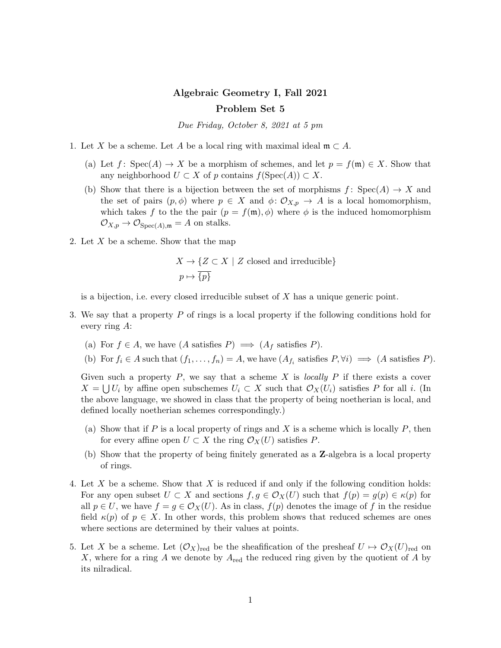## Algebraic Geometry I, Fall 2021 Problem Set 5

Due Friday, October 8, 2021 at 5 pm

- 1. Let X be a scheme. Let A be a local ring with maximal ideal  $\mathfrak{m} \subset A$ .
	- (a) Let f: Spec(A)  $\rightarrow X$  be a morphism of schemes, and let  $p = f(\mathfrak{m}) \in X$ . Show that any neighborhood  $U \subset X$  of p contains  $f(\text{Spec}(A)) \subset X$ .
	- (b) Show that there is a bijection between the set of morphisms  $f: Spec(A) \rightarrow X$  and the set of pairs  $(p, \phi)$  where  $p \in X$  and  $\phi: \mathcal{O}_{X,p} \to A$  is a local homomorphism, which takes f to the the pair  $(p = f(\mathfrak{m}), \phi)$  where  $\phi$  is the induced homomorphism  $\mathcal{O}_{X,p} \to \mathcal{O}_{\text{Spec}(A),\mathfrak{m}} = A$  on stalks.
- 2. Let  $X$  be a scheme. Show that the map

$$
X \to \{ Z \subset X \mid Z \text{ closed and irreducible} \}
$$
  

$$
p \mapsto \overline{\{p\}}
$$

is a bijection, i.e. every closed irreducible subset of  $X$  has a unique generic point.

- 3. We say that a property P of rings is a local property if the following conditions hold for every ring A:
	- (a) For  $f \in A$ , we have  $(A \text{ satisfies } P) \implies (A_f \text{ satisfies } P)$ .
	- (b) For  $f_i \in A$  such that  $(f_1, \ldots, f_n) = A$ , we have  $(A_{f_i}$  satisfies  $P, \forall i) \implies (A \text{ satisfies } P)$ .

Given such a property  $P$ , we say that a scheme  $X$  is locally  $P$  if there exists a cover  $X = \bigcup U_i$  by affine open subschemes  $U_i \subset X$  such that  $\mathcal{O}_X(U_i)$  satisfies P for all i. (In the above language, we showed in class that the property of being noetherian is local, and defined locally noetherian schemes correspondingly.)

- (a) Show that if P is a local property of rings and X is a scheme which is locally  $P$ , then for every affine open  $U \subset X$  the ring  $\mathcal{O}_X(U)$  satisfies P.
- (b) Show that the property of being finitely generated as a Z-algebra is a local property of rings.
- 4. Let X be a scheme. Show that X is reduced if and only if the following condition holds: For any open subset  $U \subset X$  and sections  $f, g \in \mathcal{O}_X(U)$  such that  $f(p) = g(p) \in \kappa(p)$  for all  $p \in U$ , we have  $f = g \in \mathcal{O}_X(U)$ . As in class,  $f(p)$  denotes the image of f in the residue field  $\kappa(p)$  of  $p \in X$ . In other words, this problem shows that reduced schemes are ones where sections are determined by their values at points.
- <span id="page-0-0"></span>5. Let X be a scheme. Let  $(\mathcal{O}_X)_{red}$  be the sheafification of the presheaf  $U \mapsto \mathcal{O}_X(U)_{red}$  on X, where for a ring  $A$  we denote by  $A_{\text{red}}$  the reduced ring given by the quotient of  $A$  by its nilradical.